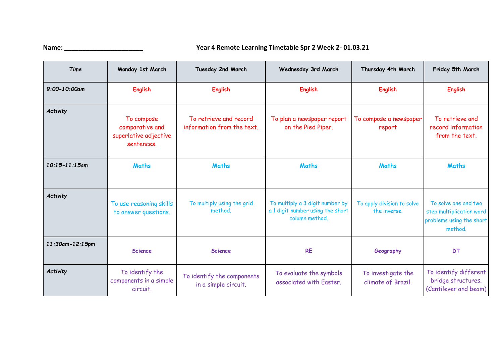## **Name: \_\_\_\_\_\_\_\_\_\_\_\_\_\_\_\_\_\_\_\_\_\_ Year 4 Remote Learning Timetable Spr 2 Week 2- 01.03.21**

| Time               | Monday 1st March                                                     | Tuesday 2nd March                                    | Wednesday 3rd March                                                                   | Thursday 4th March                         | Friday 5th March                                                                        |
|--------------------|----------------------------------------------------------------------|------------------------------------------------------|---------------------------------------------------------------------------------------|--------------------------------------------|-----------------------------------------------------------------------------------------|
| $9:00 - 10:00$ am  | <b>English</b>                                                       | <b>English</b>                                       | <b>English</b>                                                                        | <b>English</b>                             | <b>English</b>                                                                          |
| Activity           | To compose<br>comparative and<br>superlative adjective<br>sentences. | To retrieve and record<br>information from the text. | To plan a newspaper report<br>on the Pied Piper.                                      | To compose a newspaper<br>report           | To retrieve and<br>record information<br>from the text.                                 |
| $10:15 - 11:15$ am | <b>Maths</b>                                                         | <b>Maths</b>                                         | <b>Maths</b>                                                                          | <b>Maths</b>                               | <b>Maths</b>                                                                            |
| Activity           | To use reasoning skills<br>to answer questions.                      | To multiply using the grid<br>method.                | To multiply a 3 digit number by<br>a 1 digit number using the short<br>column method. | To apply division to solve<br>the inverse. | To solve one and two<br>step multiplication word<br>problems using the short<br>method. |
| 11:30am-12:15pm    | <b>Science</b>                                                       | <b>Science</b>                                       | <b>RE</b>                                                                             | Geography                                  | <b>DT</b>                                                                               |
| <b>Activity</b>    | To identify the<br>components in a simple<br>circuit.                | To identify the components<br>in a simple circuit.   | To evaluate the symbols<br>associated with Easter.                                    | To investigate the<br>climate of Brazil.   | To identify different<br>bridge structures.<br>(Cantilever and beam)                    |